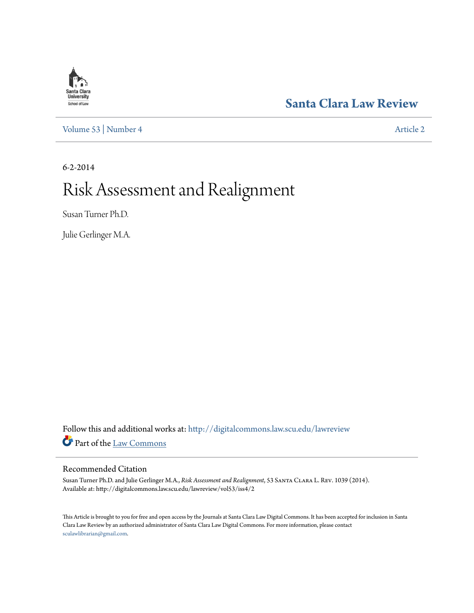## **Santa Clara**<br>**University** School of Law

[Volume 53](http://digitalcommons.law.scu.edu/lawreview/vol53?utm_source=digitalcommons.law.scu.edu%2Flawreview%2Fvol53%2Fiss4%2F2&utm_medium=PDF&utm_campaign=PDFCoverPages) | [Number 4](http://digitalcommons.law.scu.edu/lawreview/vol53/iss4?utm_source=digitalcommons.law.scu.edu%2Flawreview%2Fvol53%2Fiss4%2F2&utm_medium=PDF&utm_campaign=PDFCoverPages) [Article 2](http://digitalcommons.law.scu.edu/lawreview/vol53/iss4/2?utm_source=digitalcommons.law.scu.edu%2Flawreview%2Fvol53%2Fiss4%2F2&utm_medium=PDF&utm_campaign=PDFCoverPages)

### **[Santa Clara Law Review](http://digitalcommons.law.scu.edu/lawreview?utm_source=digitalcommons.law.scu.edu%2Flawreview%2Fvol53%2Fiss4%2F2&utm_medium=PDF&utm_campaign=PDFCoverPages)**

6-2-2014

# Risk Assessment and Realignment

Susan Turner Ph.D.

Julie Gerlinger M.A.

Follow this and additional works at: [http://digitalcommons.law.scu.edu/lawreview](http://digitalcommons.law.scu.edu/lawreview?utm_source=digitalcommons.law.scu.edu%2Flawreview%2Fvol53%2Fiss4%2F2&utm_medium=PDF&utm_campaign=PDFCoverPages) Part of the [Law Commons](http://network.bepress.com/hgg/discipline/578?utm_source=digitalcommons.law.scu.edu%2Flawreview%2Fvol53%2Fiss4%2F2&utm_medium=PDF&utm_campaign=PDFCoverPages)

### Recommended Citation

Susan Turner Ph.D. and Julie Gerlinger M.A., *Risk Assessment and Realignment*, 53 Santa Clara L. Rev. 1039 (2014). Available at: http://digitalcommons.law.scu.edu/lawreview/vol53/iss4/2

This Article is brought to you for free and open access by the Journals at Santa Clara Law Digital Commons. It has been accepted for inclusion in Santa Clara Law Review by an authorized administrator of Santa Clara Law Digital Commons. For more information, please contact [sculawlibrarian@gmail.com](mailto:sculawlibrarian@gmail.com).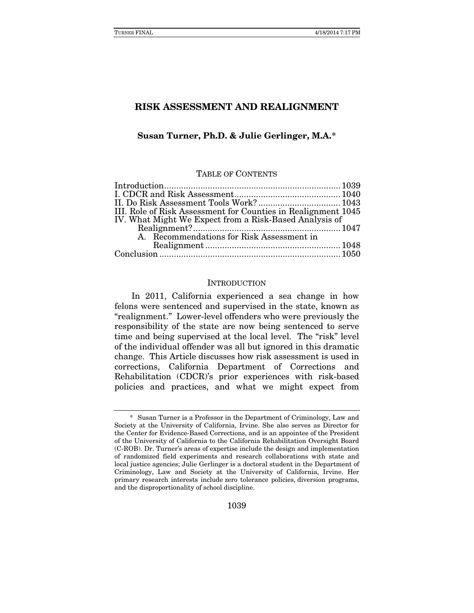#### Susan Turner, Ph.D. & Julie Gerlinger, M.A.[\\*](#page-1-0)

#### TABLE OF CONTENTS

| III. Role of Risk Assessment for Counties in Realignment 1045 |  |
|---------------------------------------------------------------|--|
| IV. What Might We Expect from a Risk-Based Analysis of        |  |
|                                                               |  |
| A. Recommendations for Risk Assessment in                     |  |
|                                                               |  |
|                                                               |  |

#### **INTRODUCTION**

In 2011, California experienced a sea change in how felons were sentenced and supervised in the state, known as "realignment." Lower-level offenders who were previously the responsibility of the state are now being sentenced to serve time and being supervised at the local level. The "risk" level of the individual offender was all but ignored in this dramatic change. This Article discusses how risk assessment is used in corrections, California Department of Corrections and Rehabilitation (CDCR)'s prior experiences with risk-based policies and practices, and what we might expect from

<span id="page-1-0"></span><sup>\*</sup> Susan Turner is a Professor in the Department of Criminology, Law and Society at the University of California, Irvine. She also serves as Director for the Center for Evidence-Based Corrections, and is an appointee of the President of the University of California to the California Rehabilitation Oversight Board (C-ROB). Dr. Turner's areas of expertise include the design and implementation of randomized field experiments and research collaborations with state and local justice agencies; Julie Gerlinger is a doctoral student in the Department of Criminology, Law and Society at the University of California, Irvine. Her primary research interests include zero tolerance policies, diversion programs, and the disproportionality of school discipline.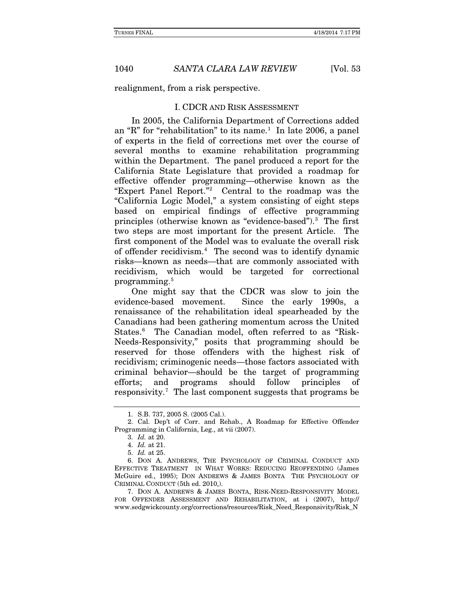realignment, from a risk perspective.

#### I. CDCR AND RISK ASSESSMENT

In 2005, the California Department of Corrections added an "R" for "rehabilitation" to its name.<sup>[1](#page-2-0)</sup> In late 2006, a panel of experts in the field of corrections met over the course of several months to examine rehabilitation programming within the Department. The panel produced a report for the California State Legislature that provided a roadmap for effective offender programming—otherwise known as the "Expert Panel Report."[2](#page-2-1) Central to the roadmap was the "California Logic Model," a system consisting of eight steps based on empirical findings of effective programming principles (otherwise known as "evidence-based").[3](#page-2-2) The first two steps are most important for the present Article. The first component of the Model was to evaluate the overall risk of offender recidivism.[4](#page-2-3) The second was to identify dynamic risks—known as needs—that are commonly associated with recidivism, which would be targeted for correctional programming. [5](#page-2-4)

One might say that the CDCR was slow to join the evidence-based movement. Since the early 1990s, a renaissance of the rehabilitation ideal spearheaded by the Canadians had been gathering momentum across the United States.[6](#page-2-5) The Canadian model, often referred to as "Risk-Needs-Responsivity," posits that programming should be reserved for those offenders with the highest risk of recidivism; criminogenic needs—those factors associated with criminal behavior—should be the target of programming efforts; and programs should follow principles of responsivity.[7](#page-2-6) The last component suggests that programs be

<sup>1.</sup> S.B. 737, 2005 S. (2005 Cal.).

<span id="page-2-2"></span><span id="page-2-1"></span><span id="page-2-0"></span><sup>2.</sup> Cal. Dep't of Corr. and Rehab., A Roadmap for Effective Offender Programming in California, Leg., at vii (2007).

<sup>3.</sup> *Id.* at 20.

<sup>4.</sup> *Id.* at 21.

<sup>5.</sup> *Id.* at 25.

<span id="page-2-5"></span><span id="page-2-4"></span><span id="page-2-3"></span><sup>6.</sup> DON A. ANDREWS, THE PSYCHOLOGY OF CRIMINAL CONDUCT AND EFFECTIVE TREATMENT IN WHAT WORKS: REDUCING REOFFENDING (James McGuire ed., 1995); DON ANDREWS & JAMES BONTA THE PSYCHOLOGY OF CRIMINAL CONDUCT (5th ed. 2010,).

<span id="page-2-6"></span><sup>7.</sup> DON A. ANDREWS & JAMES BONTA, RISK-NEED-RESPONSIVITY MODEL FOR OFFENDER ASSESSMENT AND REHABILITATION, at i (2007), http:// www.sedgwickcounty.org/corrections/resources/Risk\_Need\_Responsivity/Risk\_N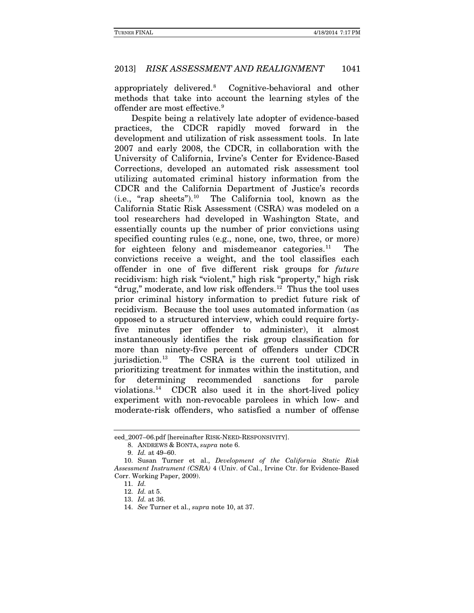appropriately delivered.[8](#page-3-0) Cognitive-behavioral and other methods that take into account the learning styles of the offender are most effective.<sup>[9](#page-3-1)</sup>

Despite being a relatively late adopter of evidence-based practices, the CDCR rapidly moved forward in the development and utilization of risk assessment tools. In late 2007 and early 2008, the CDCR, in collaboration with the University of California, Irvine's Center for Evidence-Based Corrections, developed an automated risk assessment tool utilizing automated criminal history information from the CDCR and the California Department of Justice's records  $(i.e., "rap sheets").<sup>10</sup>$  $(i.e., "rap sheets").<sup>10</sup>$  $(i.e., "rap sheets").<sup>10</sup>$  The California tool, known as the California Static Risk Assessment (CSRA) was modeled on a tool researchers had developed in Washington State, and essentially counts up the number of prior convictions using specified counting rules (e.g., none, one, two, three, or more) for eighteen felony and misdemeanor categories. The convictions receive a weight, and the tool classifies each offender in one of five different risk groups for *future* recidivism: high risk "violent," high risk "property," high risk "drug," moderate, and low risk offenders.<sup>[12](#page-3-4)</sup> Thus the tool uses prior criminal history information to predict future risk of recidivism. Because the tool uses automated information (as opposed to a structured interview, which could require fortyfive minutes per offender to administer), it almost instantaneously identifies the risk group classification for more than ninety-five percent of offenders under CDCR jurisdiction.[13](#page-3-5) The CSRA is the current tool utilized in prioritizing treatment for inmates within the institution, and for determining recommended sanctions for parole violations.[14](#page-3-6) CDCR also used it in the short-lived policy experiment with non-revocable parolees in which low- and moderate-risk offenders, who satisfied a number of offense

<span id="page-3-0"></span>eed\_2007–06.pdf [hereinafter RISK-NEED-RESPONSIVITY].

<sup>8.</sup> ANDREWS & BONTA, *supra* note 6.

<sup>9.</sup> *Id.* at 49–60.

<span id="page-3-6"></span><span id="page-3-5"></span><span id="page-3-4"></span><span id="page-3-3"></span><span id="page-3-2"></span><span id="page-3-1"></span><sup>10.</sup> Susan Turner et al., *Development of the California Static Risk Assessment Instrument (CSRA)* 4 (Univ. of Cal., Irvine Ctr. for Evidence-Based Corr. Working Paper, 2009).

<sup>11.</sup> *Id.*

<sup>12.</sup> *Id.* at 5.

<sup>13.</sup> *Id.* at 36.

<sup>14.</sup> *See* Turner et al., *supra* note 10, at 37.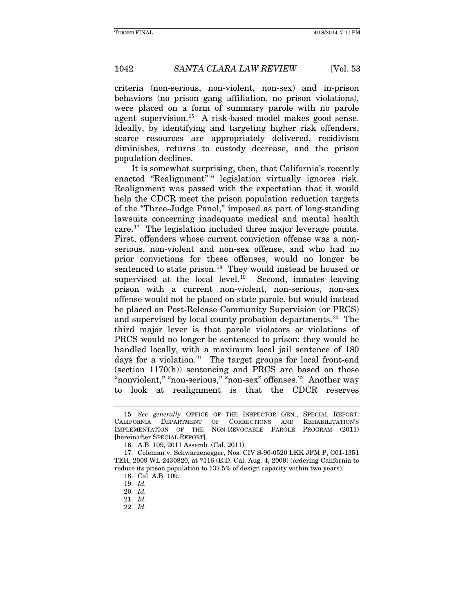criteria (non-serious, non-violent, non-sex) and in-prison behaviors (no prison gang affiliation, no prison violations), were placed on a form of summary parole with no parole agent supervision.[15](#page-4-0) A risk-based model makes good sense. Ideally, by identifying and targeting higher risk offenders, scarce resources are appropriately delivered, recidivism diminishes, returns to custody decrease, and the prison population declines.

It is somewhat surprising, then, that California's recently enacted "Realignment" [16](#page-4-1) legislation virtually ignores risk. Realignment was passed with the expectation that it would help the CDCR meet the prison population reduction targets of the "Three-Judge Panel," imposed as part of long-standing lawsuits concerning inadequate medical and mental health care.[17](#page-4-2) The legislation included three major leverage points. First, offenders whose current conviction offense was a nonserious, non-violent and non-sex offense, and who had no prior convictions for these offenses, would no longer be sentenced to state prison.<sup>[18](#page-4-3)</sup> They would instead be housed or supervised at the local level. $19$  Second, inmates leaving prison with a current non-violent, non-serious, non-sex offense would not be placed on state parole, but would instead be placed on Post-Release Community Supervision (or PRCS) and supervised by local county probation departments.<sup>[20](#page-4-5)</sup> The third major lever is that parole violators or violations of PRCS would no longer be sentenced to prison: they would be handled locally, with a maximum local jail sentence of 180 days for a violation.<sup>[21](#page-4-6)</sup> The target groups for local front-end (section 1170(h)) sentencing and PRCS are based on those "nonviolent," "non-serious," "non-sex" offenses.<sup>[22](#page-4-7)</sup> Another way to look at realignment is that the CDCR reserves

<span id="page-4-0"></span><sup>15.</sup> *See generally* OFFICE OF THE INSPECTOR GEN., SPECIAL REPORT: CALIFORNIA DEPARTMENT OF CORRECTIONS AND REHABILITATION'S IMPLEMENTATION OF THE NON-REVOCABLE PAROLE PROGRAM (2011) NON-REVOCABLE PAROLE [hereinafter SPECIAL REPORT].

<sup>16.</sup> A.B. 109, 2011 Assemb. (Cal. 2011).

<span id="page-4-5"></span><span id="page-4-4"></span><span id="page-4-3"></span><span id="page-4-2"></span><span id="page-4-1"></span><sup>17.</sup> Coleman v. Schwarzenegger, Nos. CIV S-90-0520 LKK JFM P, C01-1351 TEH, 2009 WL 2430820, at \*116 (E.D. Cal. Aug. 4, 2009) (ordering California to reduce its prison population to 137.5% of design capacity within two years).

<sup>18.</sup> Cal. A.B. 109.

<sup>19.</sup> *Id.*

<sup>20.</sup> *Id.*

<span id="page-4-7"></span><span id="page-4-6"></span><sup>21.</sup> *Id.*

<sup>22.</sup> *Id.*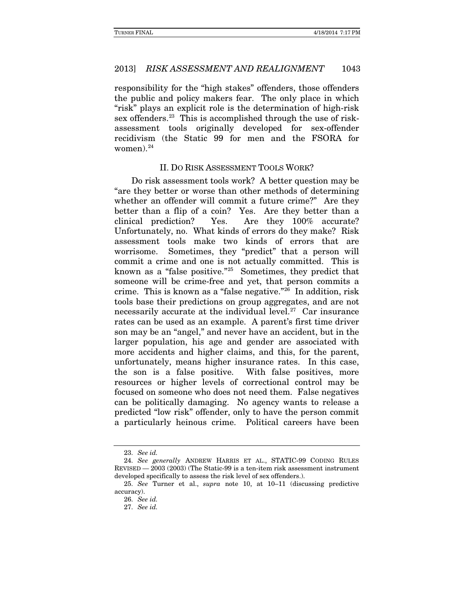responsibility for the "high stakes" offenders, those offenders the public and policy makers fear. The only place in which "risk" plays an explicit role is the determination of high-risk sex offenders.<sup>[23](#page-5-0)</sup> This is accomplished through the use of riskassessment tools originally developed for sex-offender recidivism (the Static 99 for men and the FSORA for women). $24$ 

#### II. DO RISK ASSESSMENT TOOLS WORK?

Do risk assessment tools work? A better question may be "are they better or worse than other methods of determining whether an offender will commit a future crime?" Are they better than a flip of a coin? Yes. Are they better than a clinical prediction? Yes. Are they 100% accurate? Unfortunately, no. What kinds of errors do they make? Risk assessment tools make two kinds of errors that are worrisome. Sometimes, they "predict" that a person will commit a crime and one is not actually committed. This is known as a "false positive."[25](#page-5-2) Sometimes, they predict that someone will be crime-free and yet, that person commits a crime. This is known as a "false negative.["26](#page-5-3) In addition, risk tools base their predictions on group aggregates, and are not necessarily accurate at the individual level.<sup>[27](#page-5-4)</sup> Car insurance rates can be used as an example. A parent's first time driver son may be an "angel," and never have an accident, but in the larger population, his age and gender are associated with more accidents and higher claims, and this, for the parent, unfortunately, means higher insurance rates. In this case, the son is a false positive. With false positives, more resources or higher levels of correctional control may be focused on someone who does not need them. False negatives can be politically damaging. No agency wants to release a predicted "low risk" offender, only to have the person commit a particularly heinous crime. Political careers have been

<sup>23.</sup> *See id.*

<span id="page-5-1"></span><span id="page-5-0"></span><sup>24.</sup> *See generally* ANDREW HARRIS ET AL., STATIC-99 CODING RULES REVISED — 2003 (2003) (The Static-99 is a ten-item risk assessment instrument developed specifically to assess the risk level of sex offenders.).

<span id="page-5-4"></span><span id="page-5-3"></span><span id="page-5-2"></span><sup>25.</sup> *See* Turner et al., *supra* note 10, at 10–11 (discussing predictive accuracy).

<sup>26.</sup> *See id.*

<sup>27.</sup> *See id.*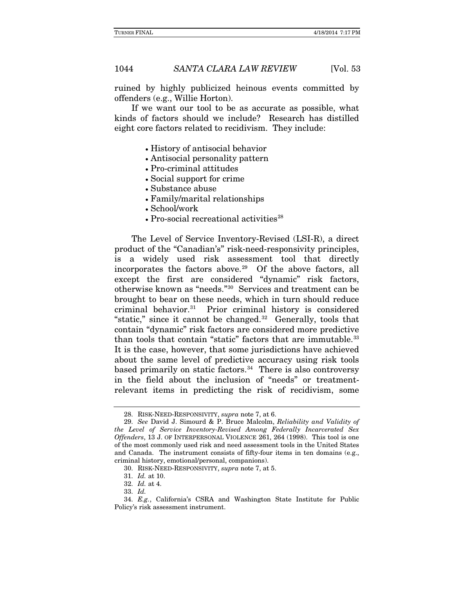ruined by highly publicized heinous events committed by offenders (e.g., Willie Horton).

If we want our tool to be as accurate as possible, what kinds of factors should we include? Research has distilled eight core factors related to recidivism. They include:

- History of antisocial behavior
- Antisocial personality pattern
- Pro-criminal attitudes
- Social support for crime
- Substance abuse
- Family/marital relationships
- School/work
- Pro-social recreational activities<sup>[28](#page-6-0)</sup>

The Level of Service Inventory-Revised (LSI-R), a direct product of the "Canadian's" risk-need-responsivity principles, is a widely used risk assessment tool that directly incorporates the factors above.<sup>29</sup> Of the above factors, all except the first are considered "dynamic" risk factors, otherwise known as "needs."[30](#page-6-2) Services and treatment can be brought to bear on these needs, which in turn should reduce criminal behavior.[31](#page-6-3) Prior criminal history is considered "static," since it cannot be changed. $32$  Generally, tools that contain "dynamic" risk factors are considered more predictive than tools that contain "static" factors that are immutable. [33](#page-6-5)  It is the case, however, that some jurisdictions have achieved about the same level of predictive accuracy using risk tools based primarily on static factors.<sup>[34](#page-6-6)</sup> There is also controversy in the field about the inclusion of "needs" or treatmentrelevant items in predicting the risk of recidivism, some

<sup>28.</sup> RISK-NEED-RESPONSIVITY, *supra* note 7, at 6.

<span id="page-6-1"></span><span id="page-6-0"></span><sup>29.</sup> *See* David J. Simourd & P. Bruce Malcolm, *Reliability and Validity of the Level of Service Inventory-Revised Among Federally Incarcerated Sex Offenders*, 13 J. OF INTERPERSONAL VIOLENCE 261, 264 (1998). This tool is one of the most commonly used risk and need assessment tools in the United States and Canada. The instrument consists of fifty-four items in ten domains (e.g., criminal history, emotional/personal, companions).

<sup>30.</sup> RISK-NEED-RESPONSIVITY, *supra* note 7, at 5.

<sup>31.</sup> *Id.* at 10.

<sup>32.</sup> *Id.* at 4.

<sup>33.</sup> *Id.*

<span id="page-6-6"></span><span id="page-6-5"></span><span id="page-6-4"></span><span id="page-6-3"></span><span id="page-6-2"></span><sup>34.</sup> *E.g.*, California's CSRA and Washington State Institute for Public Policy's risk assessment instrument.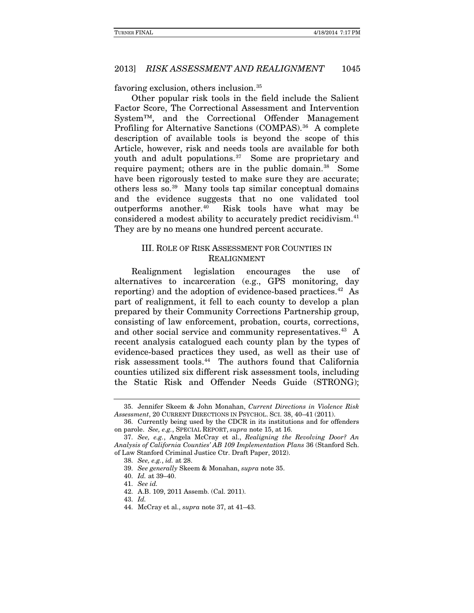favoring exclusion, others inclusion.[35](#page-7-0)

Other popular risk tools in the field include the Salient Factor Score, The Correctional Assessment and Intervention System™, and the Correctional Offender Management Profiling for Alternative Sanctions (COMPAS).<sup>[36](#page-7-1)</sup> A complete description of available tools is beyond the scope of this Article, however, risk and needs tools are available for both youth and adult populations.<sup>37</sup> Some are proprietary and require payment; others are in the public domain.<sup>[38](#page-7-3)</sup> Some have been rigorously tested to make sure they are accurate; others less so.[39](#page-7-4) Many tools tap similar conceptual domains and the evidence suggests that no one validated tool outperforms another.[40](#page-7-5) Risk tools have what may be considered a modest ability to accurately predict recidivism.<sup>[41](#page-7-6)</sup> They are by no means one hundred percent accurate.

#### III. ROLE OF RISK ASSESSMENT FOR COUNTIES IN REALIGNMENT

Realignment legislation encourages the use of alternatives to incarceration (e.g., GPS monitoring, day reporting) and the adoption of evidence-based practices.<sup>[42](#page-7-7)</sup> As part of realignment, it fell to each county to develop a plan prepared by their Community Corrections Partnership group, consisting of law enforcement, probation, courts, corrections, and other social service and community representatives.<sup>43</sup> A recent analysis catalogued each county plan by the types of evidence-based practices they used, as well as their use of risk assessment tools.[44](#page-7-9) The authors found that California counties utilized six different risk assessment tools, including the Static Risk and Offender Needs Guide (STRONG);

<span id="page-7-0"></span><sup>35.</sup> Jennifer Skeem & John Monahan, *Current Directions in Violence Risk Assessment*, 20 CURRENT DIRECTIONS IN PSYCHOL. SCI. 38, 40–41 (2011).

<span id="page-7-1"></span><sup>36.</sup> Currently being used by the CDCR in its institutions and for offenders on parole. *See, e.g.*, SPECIAL REPORT, *supra* note 15, at 16.

<span id="page-7-6"></span><span id="page-7-5"></span><span id="page-7-4"></span><span id="page-7-3"></span><span id="page-7-2"></span><sup>37.</sup> *See, e.g.*, Angela McCray et al., *Realigning the Revolving Door? An Analysis of California Counties' AB 109 Implementation Plans* 36 (Stanford Sch. of Law Stanford Criminal Justice Ctr. Draft Paper, 2012).

<sup>38.</sup> *See, e.g.*, *id.* at 28.

<sup>39.</sup> *See generally* Skeem & Monahan, *supra* note 35.

<sup>40.</sup> *Id.* at 39–40.

<sup>41.</sup> *See id.*

<sup>42.</sup> A.B. 109, 2011 Assemb. (Cal. 2011).

<span id="page-7-9"></span><span id="page-7-8"></span><span id="page-7-7"></span><sup>43.</sup> *Id.*

<sup>44.</sup> McCray et al., *supra* note 37, at 41–43.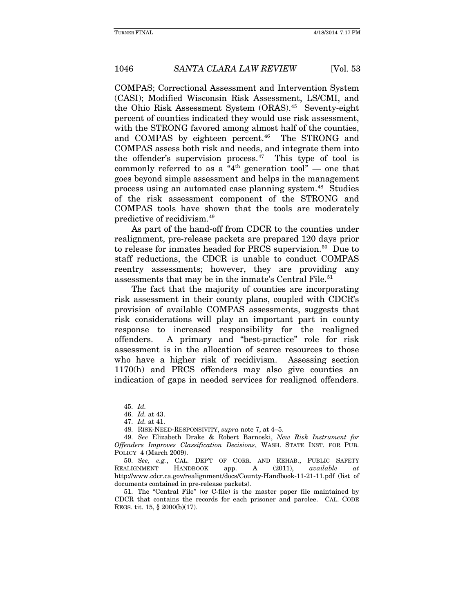COMPAS; Correctional Assessment and Intervention System (CASI); Modified Wisconsin Risk Assessment, LS/CMI, and the Ohio Risk Assessment System (ORAS).[45](#page-8-0) Seventy-eight percent of counties indicated they would use risk assessment, with the STRONG favored among almost half of the counties, and COMPAS by eighteen percent.<sup>[46](#page-8-1)</sup> The STRONG and COMPAS assess both risk and needs, and integrate them into the offender's supervision process. $47$  This type of tool is commonly referred to as a "4th generation tool" — one that goes beyond simple assessment and helps in the management process using an automated case planning system.[48](#page-8-3) Studies of the risk assessment component of the STRONG and COMPAS tools have shown that the tools are moderately predictive of recidivism.[49](#page-8-4)

As part of the hand-off from CDCR to the counties under realignment, pre-release packets are prepared 120 days prior to release for inmates headed for PRCS supervision.<sup>[50](#page-8-5)</sup> Due to staff reductions, the CDCR is unable to conduct COMPAS reentry assessments; however, they are providing any assessments that may be in the inmate's Central File. [51](#page-8-6)

The fact that the majority of counties are incorporating risk assessment in their county plans, coupled with CDCR's provision of available COMPAS assessments, suggests that risk considerations will play an important part in county response to increased responsibility for the realigned offenders. A primary and "best-practice" role for risk assessment is in the allocation of scarce resources to those who have a higher risk of recidivism. Assessing section 1170(h) and PRCS offenders may also give counties an indication of gaps in needed services for realigned offenders.

<sup>45.</sup> *Id.*

<sup>46.</sup> *Id.* at 43.

<sup>47.</sup> *Id.* at 41.

<sup>48.</sup> RISK-NEED-RESPONSIVITY, *supra* note 7, at 4–5.

<span id="page-8-4"></span><span id="page-8-3"></span><span id="page-8-2"></span><span id="page-8-1"></span><span id="page-8-0"></span><sup>49.</sup> *See* Elizabeth Drake & Robert Barnoski, *New Risk Instrument for Offenders Improves Classification Decisions*, WASH. STATE INST. FOR PUB. POLICY 4 (March 2009).

<span id="page-8-5"></span><sup>50.</sup> *See, e.g.*, CAL. DEP'T OF CORR. AND REHAB., PUBLIC SAFETY REALIGNMENT HANDBOOK app. A (2011), *available at*  http://www.cdcr.ca.gov/realignment/docs/County-Handbook-11-21-11.pdf (list of documents contained in pre-release packets).

<span id="page-8-6"></span><sup>51.</sup> The "Central File" (or C-file) is the master paper file maintained by CDCR that contains the records for each prisoner and parolee. CAL. CODE REGS. tit. 15, § 2000(b)(17).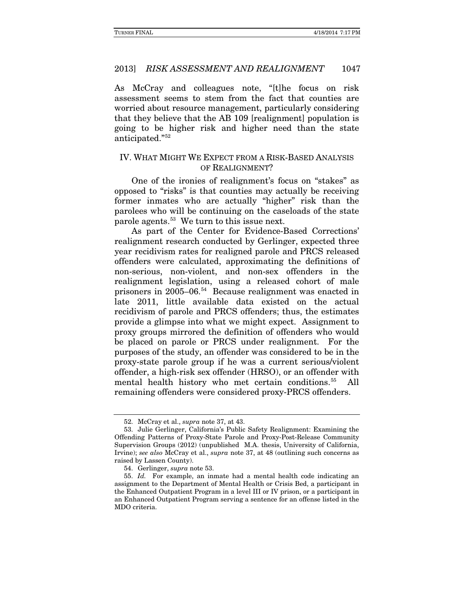As McCray and colleagues note, "[t]he focus on risk assessment seems to stem from the fact that counties are worried about resource management, particularly considering that they believe that the AB 109 [realignment] population is going to be higher risk and higher need than the state anticipated."[52](#page-9-0)

#### IV. WHAT MIGHT WE EXPECT FROM A RISK-BASED ANALYSIS OF REALIGNMENT?

One of the ironies of realignment's focus on "stakes" as opposed to "risks" is that counties may actually be receiving former inmates who are actually "higher" risk than the parolees who will be continuing on the caseloads of the state parole agents.<sup>[53](#page-9-1)</sup> We turn to this issue next.

As part of the Center for Evidence-Based Corrections' realignment research conducted by Gerlinger, expected three year recidivism rates for realigned parole and PRCS released offenders were calculated, approximating the definitions of non-serious, non-violent, and non-sex offenders in the realignment legislation, using a released cohort of male prisoners in 2005–06. [54](#page-9-2) Because realignment was enacted in late 2011, little available data existed on the actual recidivism of parole and PRCS offenders; thus, the estimates provide a glimpse into what we might expect. Assignment to proxy groups mirrored the definition of offenders who would be placed on parole or PRCS under realignment. For the purposes of the study, an offender was considered to be in the proxy-state parole group if he was a current serious/violent offender, a high-risk sex offender (HRSO), or an offender with mental health history who met certain conditions[.55](#page-9-3) All remaining offenders were considered proxy-PRCS offenders.

<sup>52.</sup> McCray et al., *supra* note 37, at 43.

<span id="page-9-1"></span><span id="page-9-0"></span><sup>53.</sup> Julie Gerlinger, California's Public Safety Realignment: Examining the Offending Patterns of Proxy-State Parole and Proxy-Post-Release Community Supervision Groups (2012) (unpublished M.A. thesis, University of California, Irvine); *see also* McCray et al., *supra* note 37, at 48 (outlining such concerns as raised by Lassen County).

<sup>54.</sup> Gerlinger, *supra* note 53.

<span id="page-9-3"></span><span id="page-9-2"></span><sup>55.</sup> *Id.* For example, an inmate had a mental health code indicating an assignment to the Department of Mental Health or Crisis Bed, a participant in the Enhanced Outpatient Program in a level III or IV prison, or a participant in an Enhanced Outpatient Program serving a sentence for an offense listed in the MDO criteria.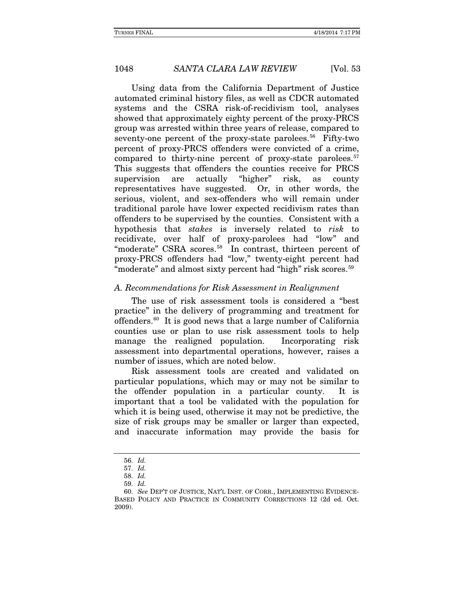Using data from the California Department of Justice automated criminal history files, as well as CDCR automated systems and the CSRA risk-of-recidivism tool, analyses showed that approximately eighty percent of the proxy-PRCS group was arrested within three years of release, compared to seventy-one percent of the proxy-state parolees.<sup>[56](#page-10-0)</sup> Fifty-two percent of proxy-PRCS offenders were convicted of a crime, compared to thirty-nine percent of proxy-state parolees.<sup>57</sup> This suggests that offenders the counties receive for PRCS supervision are actually "higher" risk, as county representatives have suggested. Or, in other words, the serious, violent, and sex-offenders who will remain under traditional parole have lower expected recidivism rates than offenders to be supervised by the counties. Consistent with a hypothesis that *stakes* is inversely related to *risk* to recidivate, over half of proxy-parolees had "low" and "moderate" CSRA scores.<sup>[58](#page-10-2)</sup> In contrast, thirteen percent of proxy-PRCS offenders had "low," twenty-eight percent had "moderate" and almost sixty percent had "high" risk scores.[59](#page-10-3)

#### *A. Recommendations for Risk Assessment in Realignment*

The use of risk assessment tools is considered a "best practice" in the delivery of programming and treatment for offenders.[60](#page-10-4) It is good news that a large number of California counties use or plan to use risk assessment tools to help manage the realigned population. Incorporating risk assessment into departmental operations, however, raises a number of issues, which are noted below.

Risk assessment tools are created and validated on particular populations, which may or may not be similar to the offender population in a particular county. It is important that a tool be validated with the population for which it is being used, otherwise it may not be predictive, the size of risk groups may be smaller or larger than expected, and inaccurate information may provide the basis for

<sup>56.</sup> *Id.*

<sup>57.</sup> *Id.*

<sup>58.</sup> *Id.*

<sup>59.</sup> *Id.*

<span id="page-10-4"></span><span id="page-10-3"></span><span id="page-10-2"></span><span id="page-10-1"></span><span id="page-10-0"></span><sup>60.</sup> *See* DEP'T OF JUSTICE, NAT'L INST. OF CORR., IMPLEMENTING EVIDENCE-BASED POLICY AND PRACTICE IN COMMUNITY CORRECTIONS 12 (2d ed. Oct. 2009).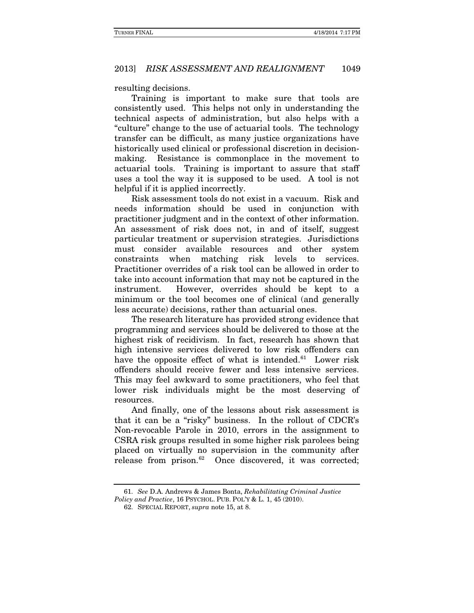resulting decisions.

Training is important to make sure that tools are consistently used. This helps not only in understanding the technical aspects of administration, but also helps with a "culture" change to the use of actuarial tools. The technology transfer can be difficult, as many justice organizations have historically used clinical or professional discretion in decisionmaking. Resistance is commonplace in the movement to actuarial tools. Training is important to assure that staff uses a tool the way it is supposed to be used. A tool is not helpful if it is applied incorrectly.

Risk assessment tools do not exist in a vacuum. Risk and needs information should be used in conjunction with practitioner judgment and in the context of other information. An assessment of risk does not, in and of itself, suggest particular treatment or supervision strategies. Jurisdictions must consider available resources and other system constraints when matching risk levels to services. Practitioner overrides of a risk tool can be allowed in order to take into account information that may not be captured in the instrument. However, overrides should be kept to a minimum or the tool becomes one of clinical (and generally less accurate) decisions, rather than actuarial ones.

The research literature has provided strong evidence that programming and services should be delivered to those at the highest risk of recidivism. In fact, research has shown that high intensive services delivered to low risk offenders can have the opposite effect of what is intended.<sup>[61](#page-11-0)</sup> Lower risk offenders should receive fewer and less intensive services. This may feel awkward to some practitioners, who feel that lower risk individuals might be the most deserving of resources.

And finally, one of the lessons about risk assessment is that it can be a "risky" business. In the rollout of CDCR's Non-revocable Parole in 2010, errors in the assignment to CSRA risk groups resulted in some higher risk parolees being placed on virtually no supervision in the community after release from prison. [62](#page-11-1) Once discovered, it was corrected;

<sup>61.</sup> *See* D.A. Andrews & James Bonta, *Rehabilitating Criminal Justice* 

<span id="page-11-1"></span><span id="page-11-0"></span>*Policy and Practice*, 16 PSYCHOL. PUB. POL'Y & L. 1, 45 (2010).

<sup>62.</sup> SPECIAL REPORT, *supra* note 15, at 8.